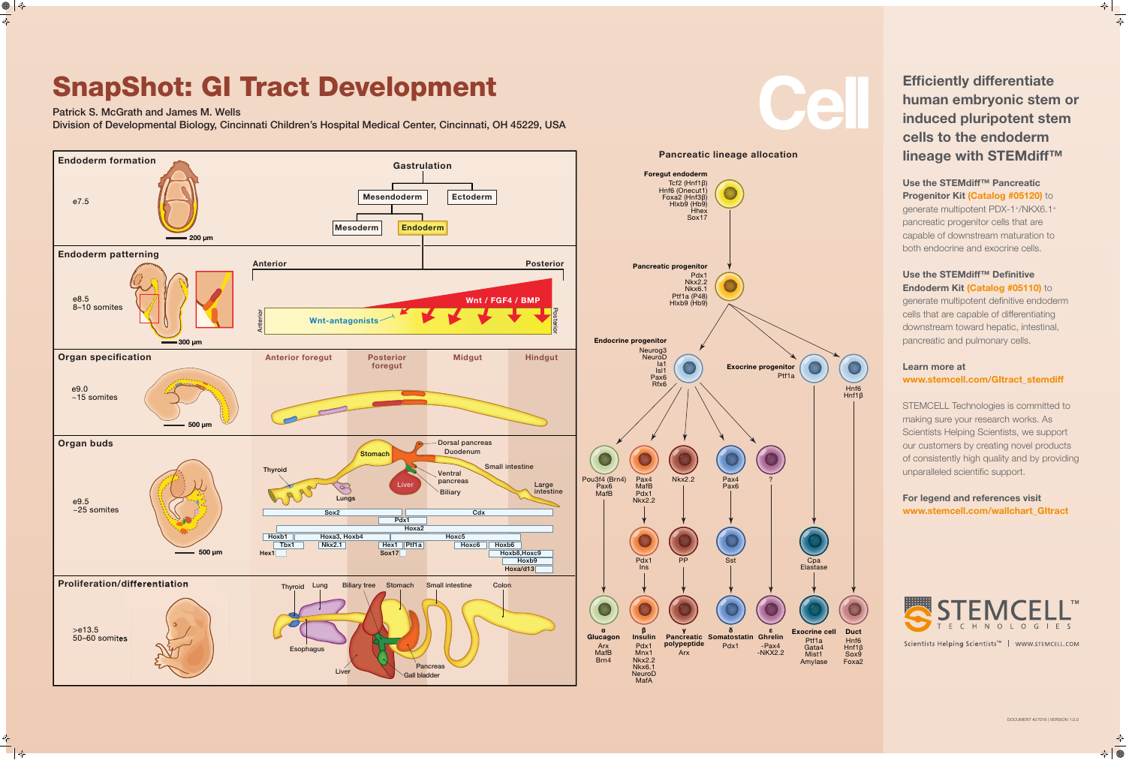

### Use the STEMdiff™ Pancreatic **Progenitor Kit (Catalog #05120)** to generate multipotent PDX-1+/NKX6.1+ pancreatic progenitor cells that are capable of downstream maturation to both endocrine and exocrine cells.

### Use the STEMdiff™ Definitive Endoderm Kit (Catalog #05110) to

# SnapShot: GI Tract Development

Patrick S. McGrath and James M. Wells Division of Developmental Biology, Cincinnati Children's Hospital Medical Center, Cincinnati, OH 45229, USA

## Efficiently differentiate human embryonic stem or induced pluripotent stem cells to the endoderm lineage with STEMdiff™

generate multipotent definitive endoderm cells that are capable of differentiating downstream toward hepatic, intestinal, pancreatic and pulmonary cells.

### Learn more at www.stemcell.com/GItract\_stemdiff

STEMCELL Technologies is committed to making sure your research works. As Scientists Helping Scientists, we support our customers by creating novel products of consistently high quality and by providing unparalleled scientific support.

### For legend and references visit www.stemcell.com/wallchart\_GItract



Scientists Helping Scientists<sup>™</sup> | WWW.STEMCELL.COM